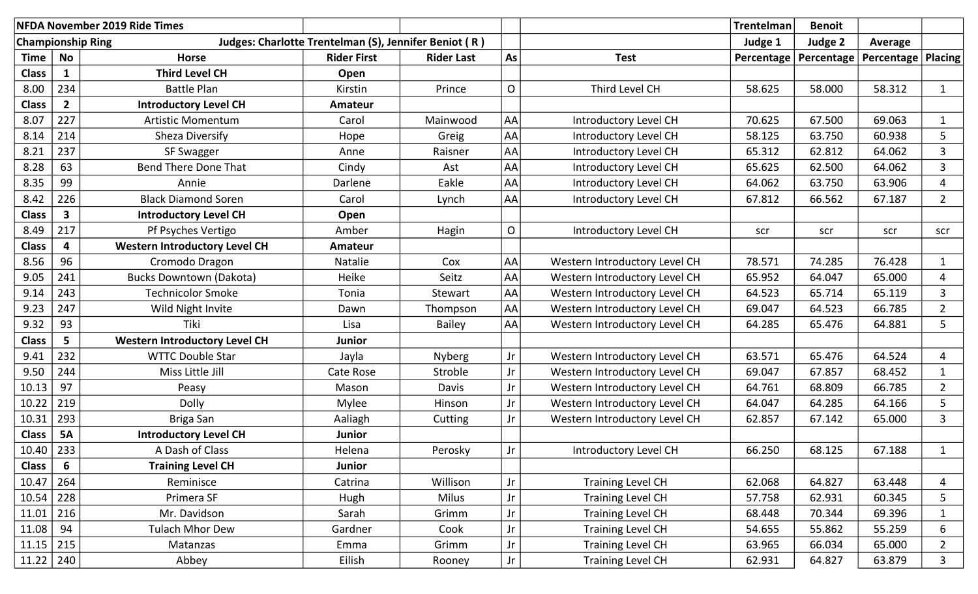| NFDA November 2019 Ride Times |                |                                      |                                                       |                   |                        |                               | <b>Trentelman</b> | <b>Benoit</b>           |                      |                |
|-------------------------------|----------------|--------------------------------------|-------------------------------------------------------|-------------------|------------------------|-------------------------------|-------------------|-------------------------|----------------------|----------------|
| <b>Championship Ring</b>      |                |                                      | Judges: Charlotte Trentelman (S), Jennifer Beniot (R) |                   |                        |                               | Judge 1           | Judge 2                 | Average              |                |
| Time                          | <b>No</b>      | <b>Horse</b>                         | <b>Rider First</b>                                    | <b>Rider Last</b> | As                     | <b>Test</b>                   |                   | Percentage   Percentage | Percentage   Placing |                |
| <b>Class</b>                  | $\mathbf{1}$   | <b>Third Level CH</b>                | Open                                                  |                   |                        |                               |                   |                         |                      |                |
| 8.00                          | 234            | <b>Battle Plan</b>                   | Kirstin                                               | Prince            | $\mathsf{O}$           | Third Level CH                | 58.625            | 58.000                  | 58.312               | $\mathbf{1}$   |
| <b>Class</b>                  | $\overline{2}$ | <b>Introductory Level CH</b>         | Amateur                                               |                   |                        |                               |                   |                         |                      |                |
| 8.07                          | 227            | <b>Artistic Momentum</b>             | Carol                                                 | Mainwood          | AA                     | Introductory Level CH         | 70.625            | 67.500                  | 69.063               | $\mathbf{1}$   |
| 8.14                          | 214            | Sheza Diversify                      | Hope                                                  | Greig             | AA                     | Introductory Level CH         | 58.125            | 63.750                  | 60.938               | 5              |
| 8.21                          | 237            | SF Swagger                           | Anne                                                  | Raisner           | <b>AA</b>              | Introductory Level CH         | 65.312            | 62.812                  | 64.062               | 3              |
| 8.28                          | 63             | <b>Bend There Done That</b>          | Cindy                                                 | Ast               | AA                     | Introductory Level CH         | 65.625            | 62.500                  | 64.062               | 3              |
| 8.35                          | 99             | Annie                                | Darlene                                               | Eakle             | AA                     | Introductory Level CH         | 64.062            | 63.750                  | 63.906               | $\overline{4}$ |
| 8.42                          | 226            | <b>Black Diamond Soren</b>           | Carol                                                 | Lynch             | AA                     | Introductory Level CH         | 67.812            | 66.562                  | 67.187               | $2^{\circ}$    |
| <b>Class</b>                  | $\mathbf{3}$   | <b>Introductory Level CH</b>         | Open                                                  |                   |                        |                               |                   |                         |                      |                |
| 8.49                          | 217            | Pf Psyches Vertigo                   | Amber                                                 | Hagin             | $\mathsf{O}$           | Introductory Level CH         | scr               | scr                     | scr                  | scr            |
| <b>Class</b>                  | 4              | <b>Western Introductory Level CH</b> | <b>Amateur</b>                                        |                   |                        |                               |                   |                         |                      |                |
| 8.56                          | 96             | Cromodo Dragon                       | Natalie                                               | Cox               | AA                     | Western Introductory Level CH | 78.571            | 74.285                  | 76.428               | $\mathbf{1}$   |
| 9.05                          | 241            | <b>Bucks Downtown (Dakota)</b>       | Heike                                                 | Seitz             | AA                     | Western Introductory Level CH | 65.952            | 64.047                  | 65.000               | 4              |
| 9.14                          | 243            | <b>Technicolor Smoke</b>             | Tonia                                                 | Stewart           | AA                     | Western Introductory Level CH | 64.523            | 65.714                  | 65.119               | 3              |
| 9.23                          | 247            | Wild Night Invite                    | Dawn                                                  | Thompson          | AA                     | Western Introductory Level CH | 69.047            | 64.523                  | 66.785               | $\overline{2}$ |
| 9.32                          | 93             | Tiki                                 | Lisa                                                  | Bailey            | AA                     | Western Introductory Level CH | 64.285            | 65.476                  | 64.881               | 5              |
| <b>Class</b>                  | 5 <sub>1</sub> | <b>Western Introductory Level CH</b> | <b>Junior</b>                                         |                   |                        |                               |                   |                         |                      |                |
| 9.41                          | 232            | <b>WTTC Double Star</b>              | Jayla                                                 | <b>Nyberg</b>     | Jr                     | Western Introductory Level CH | 63.571            | 65.476                  | 64.524               | 4              |
| 9.50                          | 244            | Miss Little Jill                     | Cate Rose                                             | Stroble           | Jr                     | Western Introductory Level CH | 69.047            | 67.857                  | 68.452               |                |
| 10.13                         | 97             | Peasy                                | Mason                                                 | Davis             | Jr                     | Western Introductory Level CH | 64.761            | 68.809                  | 66.785               | $2^{\circ}$    |
| 10.22                         | 219            | <b>Dolly</b>                         | <b>Mylee</b>                                          | Hinson            | Jr                     | Western Introductory Level CH | 64.047            | 64.285                  | 64.166               | 5              |
| 10.31                         | 293            | Briga San                            | Aaliagh                                               | Cutting           | Jr                     | Western Introductory Level CH | 62.857            | 67.142                  | 65.000               | 3              |
| <b>Class</b>                  | <b>5A</b>      | <b>Introductory Level CH</b>         | <b>Junior</b>                                         |                   |                        |                               |                   |                         |                      |                |
| $10.40$ 233                   |                | A Dash of Class                      | Helena                                                | Perosky           | $_{\rm Jr}$            | Introductory Level CH         | 66.250            | 68.125                  | 67.188               | $\mathbf{1}$   |
| Class                         | 6              | <b>Training Level CH</b>             | <b>Junior</b>                                         |                   |                        |                               |                   |                         |                      |                |
| 10.47                         | 264            | Reminisce                            | Catrina                                               | Willison          | Jr                     | <b>Training Level CH</b>      | 62.068            | 64.827                  | 63.448               | 4              |
| 10.54                         | 228            | Primera SF                           | Hugh                                                  | <b>Milus</b>      | $\mathsf{J}\mathsf{r}$ | <b>Training Level CH</b>      | 57.758            | 62.931                  | 60.345               | 5              |
| 11.01                         | 216            | Mr. Davidson                         | Sarah                                                 | Grimm             | Jr                     | <b>Training Level CH</b>      | 68.448            | 70.344                  | 69.396               | $\mathbf{1}$   |
| 11.08                         | 94             | <b>Tulach Mhor Dew</b>               | Gardner                                               | Cook              | Jr                     | <b>Training Level CH</b>      | 54.655            | 55.862                  | 55.259               | 6              |
| $11.15$ 215                   |                | Matanzas                             | Emma                                                  | Grimm             | Jr                     | <b>Training Level CH</b>      | 63.965            | 66.034                  | 65.000               | $2^{\circ}$    |
| 11.22                         | 240            | Abbey                                | Eilish                                                | Rooney            | Jr                     | <b>Training Level CH</b>      | 62.931            | 64.827                  | 63.879               | 3              |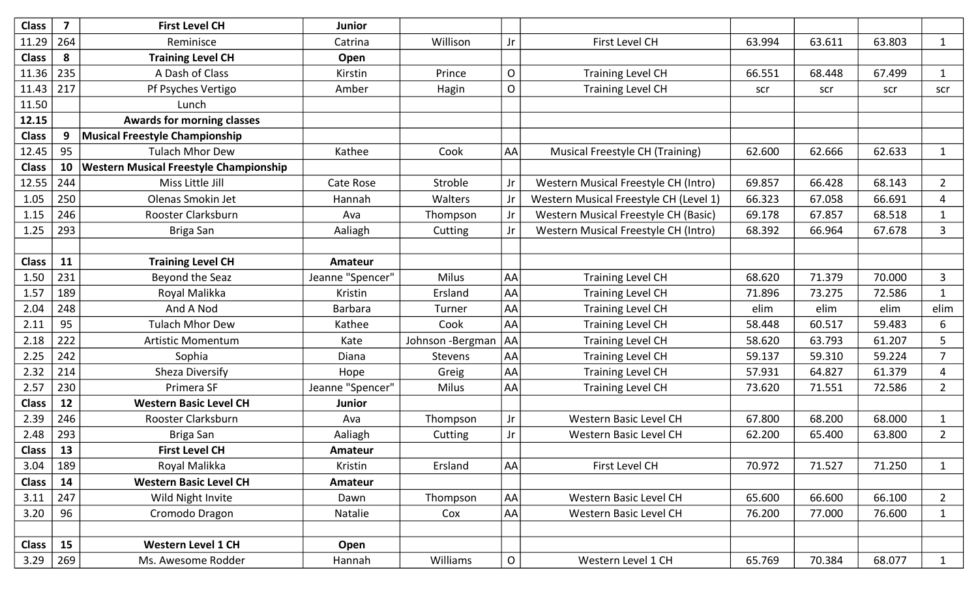| <b>Class</b> | $\overline{\mathbf{z}}$ | <b>First Level CH</b>                         | <b>Junior</b>    |                  |                |                                             |        |        |        |                |
|--------------|-------------------------|-----------------------------------------------|------------------|------------------|----------------|---------------------------------------------|--------|--------|--------|----------------|
| 11.29        | 264                     | Reminisce                                     | Catrina          | Willison         | Jr             | First Level CH                              | 63.994 | 63.611 | 63.803 | $\mathbf{1}$   |
| <b>Class</b> | 8                       | <b>Training Level CH</b>                      | Open             |                  |                |                                             |        |        |        |                |
| 11.36        | 235                     | A Dash of Class                               | Kirstin          | Prince           | O              | <b>Training Level CH</b>                    | 66.551 | 68.448 | 67.499 | $\mathbf{1}$   |
| 11.43        | 217                     | Pf Psyches Vertigo                            | Amber            | Hagin            | $\mathsf{O}$   | <b>Training Level CH</b>                    | scr    | scr    | scr    | scr            |
| 11.50        |                         | Lunch                                         |                  |                  |                |                                             |        |        |        |                |
| 12.15        |                         | <b>Awards for morning classes</b>             |                  |                  |                |                                             |        |        |        |                |
| <b>Class</b> | 9                       | <b>Musical Freestyle Championship</b>         |                  |                  |                |                                             |        |        |        |                |
| 12.45        | 95                      | <b>Tulach Mhor Dew</b>                        | Kathee           | Cook             | AA             | <b>Musical Freestyle CH (Training)</b>      | 62.600 | 62.666 | 62.633 | $\mathbf{1}$   |
| <b>Class</b> | 10                      | <b>Western Musical Freestyle Championship</b> |                  |                  |                |                                             |        |        |        |                |
| 12.55        | 244                     | Miss Little Jill                              | Cate Rose        | Stroble          | Jr             | Western Musical Freestyle CH (Intro)        | 69.857 | 66.428 | 68.143 | $2^{\circ}$    |
| 1.05         | 250                     | Olenas Smokin Jet                             | Hannah           | Walters          | Jr             | Western Musical Freestyle CH (Level 1)      | 66.323 | 67.058 | 66.691 | 4              |
| 1.15         | 246                     | Rooster Clarksburn                            | Ava              | Thompson         | Jr             | <b>Western Musical Freestyle CH (Basic)</b> | 69.178 | 67.857 | 68.518 | $\mathbf{1}$   |
| 1.25         | 293                     | Briga San                                     | Aaliagh          | Cutting          | Jr             | Western Musical Freestyle CH (Intro)        | 68.392 | 66.964 | 67.678 | $\mathbf{3}$   |
|              |                         |                                               |                  |                  |                |                                             |        |        |        |                |
| <b>Class</b> | 11                      | <b>Training Level CH</b>                      | <b>Amateur</b>   |                  |                |                                             |        |        |        |                |
| 1.50         | 231                     | Beyond the Seaz                               | Jeanne "Spencer" | Milus            | AA             | <b>Training Level CH</b>                    | 68.620 | 71.379 | 70.000 | 3              |
| 1.57         | 189                     | Royal Malikka                                 | Kristin          | Ersland          | AA             | <b>Training Level CH</b>                    | 71.896 | 73.275 | 72.586 | $\mathbf{1}$   |
| 2.04         | 248                     | And A Nod                                     | <b>Barbara</b>   | Turner           | AA             | <b>Training Level CH</b>                    | elim   | elim   | elim   | elim           |
| 2.11         | 95                      | <b>Tulach Mhor Dew</b>                        | Kathee           | Cook             | AA             | <b>Training Level CH</b>                    | 58.448 | 60.517 | 59.483 | 6              |
| 2.18         | 222                     | <b>Artistic Momentum</b>                      | Kate             | Johnson -Bergman | AA             | <b>Training Level CH</b>                    | 58.620 | 63.793 | 61.207 | 5              |
| 2.25         | 242                     | Sophia                                        | Diana            | <b>Stevens</b>   | AA             | <b>Training Level CH</b>                    | 59.137 | 59.310 | 59.224 | $\overline{7}$ |
| 2.32         | 214                     | Sheza Diversify                               | Hope             | Greig            | AA             | <b>Training Level CH</b>                    | 57.931 | 64.827 | 61.379 | 4              |
| 2.57         | 230                     | Primera SF                                    | Jeanne "Spencer" | Milus            | <b>AA</b>      | <b>Training Level CH</b>                    | 73.620 | 71.551 | 72.586 | $\overline{2}$ |
| <b>Class</b> | 12                      | <b>Western Basic Level CH</b>                 | <b>Junior</b>    |                  |                |                                             |        |        |        |                |
| 2.39         | 246                     | Rooster Clarksburn                            | Ava              | Thompson         | Jr             | Western Basic Level CH                      | 67.800 | 68.200 | 68.000 | 1              |
| 2.48         | 293                     | Briga San                                     | Aaliagh          | Cutting          | Jr             | Western Basic Level CH                      | 62.200 | 65.400 | 63.800 | $\overline{2}$ |
| <b>Class</b> | 13                      | <b>First Level CH</b>                         | Amateur          |                  |                |                                             |        |        |        |                |
| 3.04         | 189                     | Royal Malikka                                 | Kristin          | Ersland          | AA             | First Level CH                              | 70.972 | 71.527 | 71.250 | $\mathbf{1}$   |
| <b>Class</b> | 14                      | <b>Western Basic Level CH</b>                 | Amateur          |                  |                |                                             |        |        |        |                |
| 3.11         | 247                     | Wild Night Invite                             | Dawn             | Thompson         | <b>AA</b>      | Western Basic Level CH                      | 65.600 | 66.600 | 66.100 | $\overline{2}$ |
| 3.20         | 96                      | Cromodo Dragon                                | Natalie          | Cox              | AA             | Western Basic Level CH                      | 76.200 | 77.000 | 76.600 | $\mathbf{1}$   |
|              |                         |                                               |                  |                  |                |                                             |        |        |        |                |
| <b>Class</b> | 15                      | <b>Western Level 1 CH</b>                     | Open             |                  |                |                                             |        |        |        |                |
| 3.29         | 269                     | Ms. Awesome Rodder                            | Hannah           | Williams         | $\overline{O}$ | Western Level 1 CH                          | 65.769 | 70.384 | 68.077 | 1              |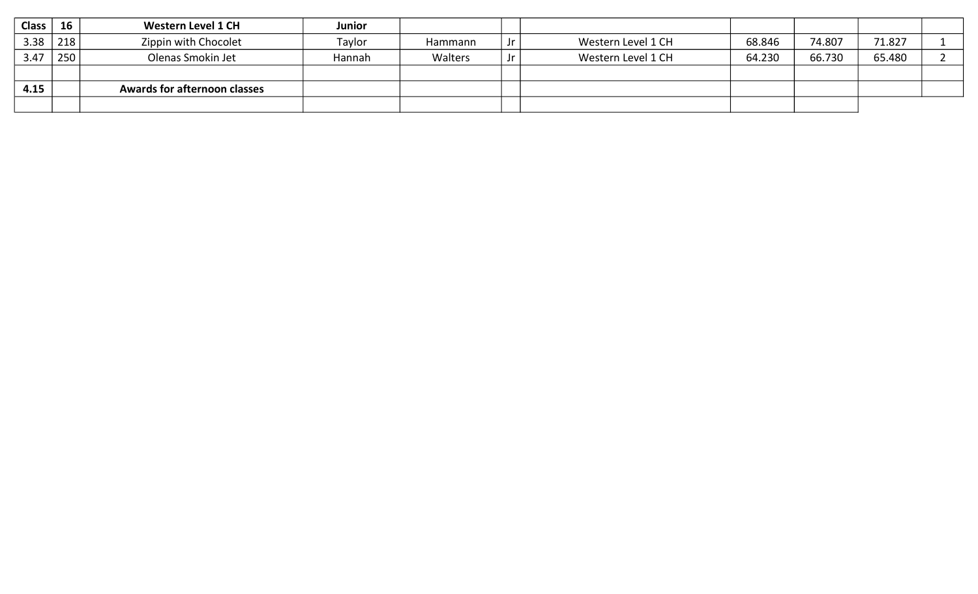| Class | 16               | <b>Western Level 1 CH</b>           | <b>Junior</b> |         |                    |        |        |        |  |
|-------|------------------|-------------------------------------|---------------|---------|--------------------|--------|--------|--------|--|
| 3.38  | 218              | Zippin with Chocolet                | Taylor        | Hammann | Western Level 1 CH | 68.846 | 74.807 | 71.827 |  |
| 3.47  | 250 <sub>1</sub> | Olenas Smokin Jet                   | Hannah        | Walters | Western Level 1 CH | 64.230 | 66.730 | 65.480 |  |
|       |                  |                                     |               |         |                    |        |        |        |  |
| 4.15  |                  | <b>Awards for afternoon classes</b> |               |         |                    |        |        |        |  |
|       |                  |                                     |               |         |                    |        |        |        |  |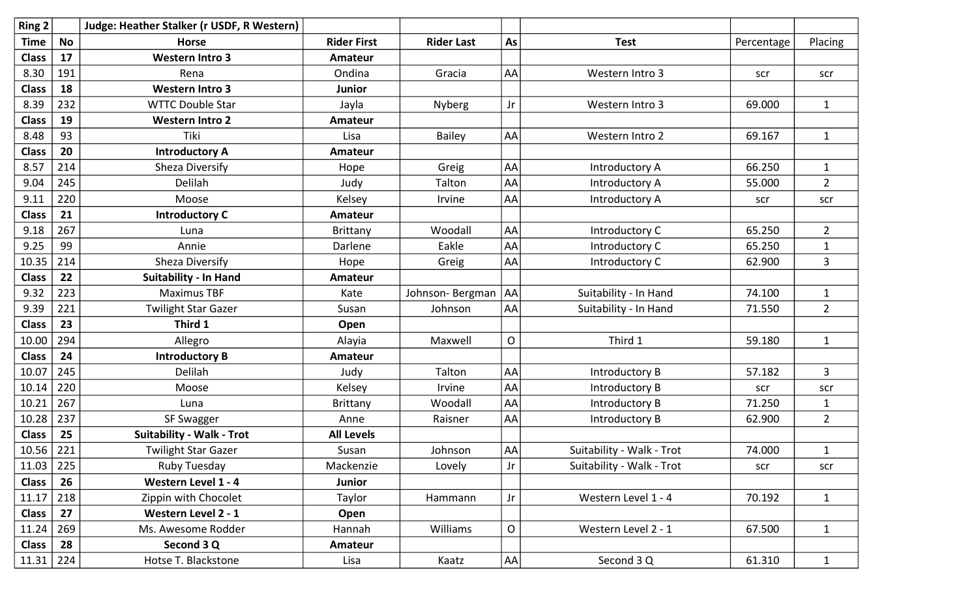| Ring 2        |           | Judge: Heather Stalker (r USDF, R Western) |                    |                   |           |                           |            |                |
|---------------|-----------|--------------------------------------------|--------------------|-------------------|-----------|---------------------------|------------|----------------|
| <b>Time</b>   | <b>No</b> | <b>Horse</b>                               | <b>Rider First</b> | <b>Rider Last</b> | As        | <b>Test</b>               | Percentage | Placing        |
| <b>Class</b>  | 17        | <b>Western Intro 3</b>                     | Amateur            |                   |           |                           |            |                |
| 8.30          | 191       | Rena                                       | Ondina             | Gracia            | AA        | Western Intro 3           | scr        | scr            |
| <b>Class</b>  | 18        | <b>Western Intro 3</b>                     | Junior             |                   |           |                           |            |                |
| 8.39          | 232       | <b>WTTC Double Star</b>                    | Jayla              | Nyberg            | Jr        | Western Intro 3           | 69.000     | $\mathbf{1}$   |
| <b>Class</b>  | 19        | <b>Western Intro 2</b>                     | Amateur            |                   |           |                           |            |                |
| 8.48          | 93        | Tiki                                       | Lisa               | <b>Bailey</b>     | AA        | Western Intro 2           | 69.167     | $\mathbf{1}$   |
| <b>Class</b>  | 20        | <b>Introductory A</b>                      | Amateur            |                   |           |                           |            |                |
| 8.57          | 214       | <b>Sheza Diversify</b>                     | Hope               | Greig             | AA        | Introductory A            | 66.250     | $\mathbf{1}$   |
| 9.04          | 245       | Delilah                                    | Judy               | Talton            | AA        | Introductory A            | 55.000     | $\overline{2}$ |
| 9.11          | 220       | Moose                                      | Kelsey             | Irvine            | AA        | Introductory A            | scr        | scr            |
| <b>Class</b>  | 21        | <b>Introductory C</b>                      | Amateur            |                   |           |                           |            |                |
| 9.18          | 267       | Luna                                       | Brittany           | Woodall           | AA        | Introductory C            | 65.250     | $2^{\circ}$    |
| 9.25          | 99        | Annie                                      | Darlene            | Eakle             | AA        | Introductory C            | 65.250     | $\mathbf 1$    |
| 10.35         | 214       | Sheza Diversify                            | Hope               | Greig             | AA        | Introductory C            | 62.900     | 3              |
| <b>Class</b>  | 22        | <b>Suitability - In Hand</b>               | <b>Amateur</b>     |                   |           |                           |            |                |
| 9.32          | 223       | <b>Maximus TBF</b>                         | Kate               | Johnson-Bergman   | <b>AA</b> | Suitability - In Hand     | 74.100     | $\mathbf{1}$   |
| 9.39          | 221       | <b>Twilight Star Gazer</b>                 | Susan              | Johnson           | AA        | Suitability - In Hand     | 71.550     | $\overline{2}$ |
| <b>Class</b>  | 23        | Third 1                                    | Open               |                   |           |                           |            |                |
| 10.00         | 294       | Allegro                                    | Alayia             | Maxwell           | O         | Third 1                   | 59.180     | $\mathbf{1}$   |
| <b>Class</b>  | 24        | <b>Introductory B</b>                      | <b>Amateur</b>     |                   |           |                           |            |                |
| 10.07         | 245       | Delilah                                    | Judy               | Talton            | AA        | Introductory B            | 57.182     | 3              |
| 10.14         | 220       | Moose                                      | Kelsey             | Irvine            | AA        | Introductory B            | scr        | scr            |
| 10.21         | 267       | Luna                                       | <b>Brittany</b>    | Woodall           | AA        | Introductory B            | 71.250     | $\mathbf{1}$   |
| 10.28         | 237       | SF Swagger                                 | Anne               | Raisner           | AA        | Introductory B            | 62.900     | $\overline{2}$ |
| <b>Class</b>  | 25        | <b>Suitability - Walk - Trot</b>           | <b>All Levels</b>  |                   |           |                           |            |                |
| $10.56$   221 |           | <b>Twilight Star Gazer</b>                 | Susan              | Johnson           | AA        | Suitability - Walk - Trot | 74.000     | $\mathbf{1}$   |
| 11.03         | 225       | Ruby Tuesday                               | Mackenzie          | Lovely            | Jr        | Suitability - Walk - Trot | scr        | scr            |
| <b>Class</b>  | 26        | Western Level 1 - 4                        | Junior             |                   |           |                           |            |                |
| 11.17         | 218       | Zippin with Chocolet                       | Taylor             | Hammann           | Jr        | Western Level 1 - 4       | 70.192     | $\mathbf{1}$   |
| <b>Class</b>  | 27        | Western Level 2 - 1                        | Open               |                   |           |                           |            |                |
| 11.24         | 269       | Ms. Awesome Rodder                         | Hannah             | Williams          | O         | Western Level 2 - 1       | 67.500     | $\mathbf{1}$   |
| <b>Class</b>  | 28        | Second 3 Q                                 | Amateur            |                   |           |                           |            |                |
| 11.31   224   |           | Hotse T. Blackstone                        | Lisa               | Kaatz             | AA        | Second 3 Q                | 61.310     | $\mathbf{1}$   |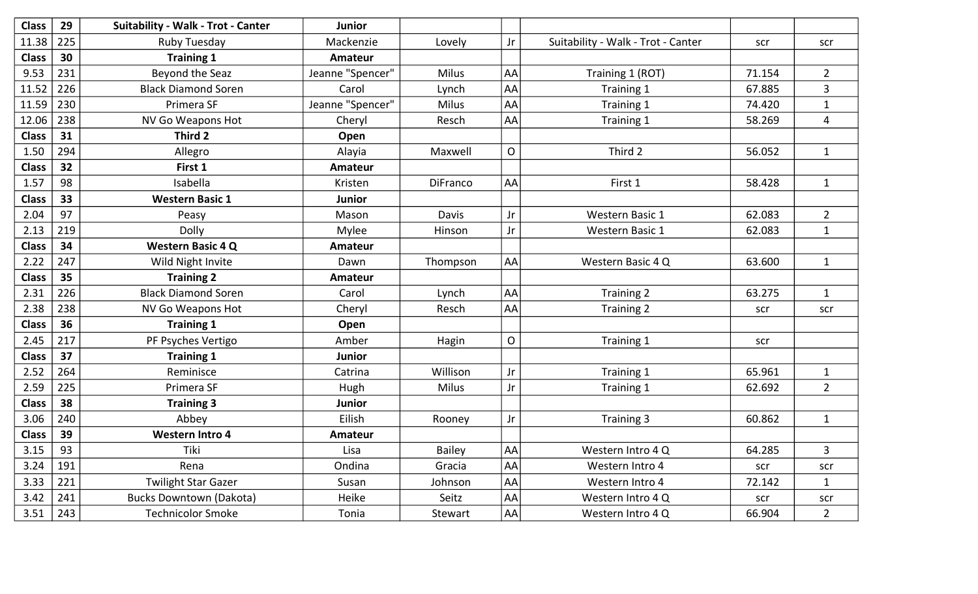| <b>Class</b> | 29  | <b>Suitability - Walk - Trot - Canter</b> | <b>Junior</b>    |                 |             |                                    |        |                |
|--------------|-----|-------------------------------------------|------------------|-----------------|-------------|------------------------------------|--------|----------------|
| 11.38        | 225 | <b>Ruby Tuesday</b>                       | Mackenzie        | Lovely          | Jr          | Suitability - Walk - Trot - Canter | scr    | scr            |
| <b>Class</b> | 30  | <b>Training 1</b>                         | <b>Amateur</b>   |                 |             |                                    |        |                |
| 9.53         | 231 | <b>Beyond the Seaz</b>                    | Jeanne "Spencer" | <b>Milus</b>    | AA          | Training 1 (ROT)                   | 71.154 | $2^{\circ}$    |
| 11.52        | 226 | <b>Black Diamond Soren</b>                | Carol            | Lynch           | AA          | Training 1                         | 67.885 | $\overline{3}$ |
| 11.59        | 230 | Primera SF                                | Jeanne "Spencer" | Milus           | AA          | Training 1                         | 74.420 | $\mathbf{1}$   |
| 12.06        | 238 | NV Go Weapons Hot                         | Cheryl           | Resch           | AA          | Training 1                         | 58.269 | 4              |
| <b>Class</b> | 31  | Third 2                                   | Open             |                 |             |                                    |        |                |
| 1.50         | 294 | Allegro                                   | Alayia           | Maxwell         | $\mathsf O$ | Third 2                            | 56.052 | $\mathbf{1}$   |
| <b>Class</b> | 32  | First 1                                   | <b>Amateur</b>   |                 |             |                                    |        |                |
| 1.57         | 98  | Isabella                                  | Kristen          | <b>DiFranco</b> | AA          | First 1                            | 58.428 | $\mathbf{1}$   |
| <b>Class</b> | 33  | <b>Western Basic 1</b>                    | <b>Junior</b>    |                 |             |                                    |        |                |
| 2.04         | 97  | Peasy                                     | Mason            | Davis           | Jr          | <b>Western Basic 1</b>             | 62.083 | $\overline{2}$ |
| 2.13         | 219 | Dolly                                     | Mylee            | Hinson          | Jr          | <b>Western Basic 1</b>             | 62.083 | $\mathbf{1}$   |
| <b>Class</b> | 34  | <b>Western Basic 4 Q</b>                  | <b>Amateur</b>   |                 |             |                                    |        |                |
| 2.22         | 247 | Wild Night Invite                         | Dawn             | Thompson        | AA          | Western Basic 4 Q                  | 63.600 | $\mathbf{1}$   |
| <b>Class</b> | 35  | <b>Training 2</b>                         | <b>Amateur</b>   |                 |             |                                    |        |                |
| 2.31         | 226 | <b>Black Diamond Soren</b>                | Carol            | Lynch           | AA          | Training 2                         | 63.275 | $\mathbf{1}$   |
| 2.38         | 238 | NV Go Weapons Hot                         | Cheryl           | Resch           | AA          | Training 2                         | scr    | scr            |
| <b>Class</b> | 36  | <b>Training 1</b>                         | Open             |                 |             |                                    |        |                |
| 2.45         | 217 | PF Psyches Vertigo                        | Amber            | Hagin           | $\mathsf O$ | Training 1                         | scr    |                |
| <b>Class</b> | 37  | <b>Training 1</b>                         | Junior           |                 |             |                                    |        |                |
| 2.52         | 264 | Reminisce                                 | Catrina          | Willison        | Jr          | Training 1                         | 65.961 | $1\,$          |
| 2.59         | 225 | Primera SF                                | Hugh             | Milus           | Jr          | Training 1                         | 62.692 | $\overline{2}$ |
| <b>Class</b> | 38  | <b>Training 3</b>                         | <b>Junior</b>    |                 |             |                                    |        |                |
| 3.06         | 240 | Abbey                                     | Eilish           | Rooney          | Jr          | Training 3                         | 60.862 | $\mathbf{1}$   |
| <b>Class</b> | 39  | <b>Western Intro 4</b>                    | Amateur          |                 |             |                                    |        |                |
| 3.15         | 93  | Tiki                                      | Lisa             | <b>Bailey</b>   | AA          | Western Intro 4 Q                  | 64.285 | 3              |
| 3.24         | 191 | Rena                                      | Ondina           | Gracia          | AA          | Western Intro 4                    | scr    | scr            |
| 3.33         | 221 | <b>Twilight Star Gazer</b>                | Susan            | Johnson         | AA          | Western Intro 4                    | 72.142 | $\mathbf{1}$   |
| 3.42         | 241 | <b>Bucks Downtown (Dakota)</b>            | Heike            | Seitz           | AA          | Western Intro 4 Q                  | scr    | scr            |
| 3.51         | 243 | <b>Technicolor Smoke</b>                  | Tonia            | Stewart         | AA          | Western Intro 4 Q                  | 66.904 | $\overline{2}$ |